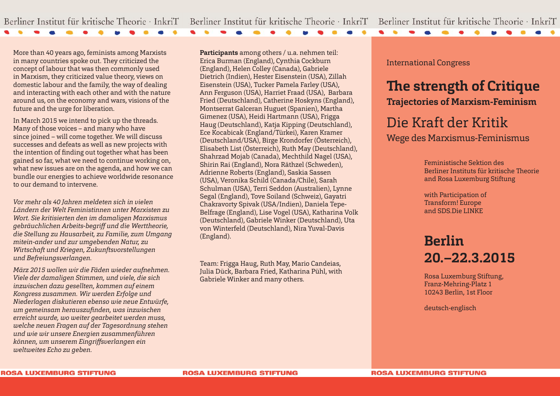More than 40 years ago, feminists among Marxists in many countries spoke out. They criticized the concept of labour that was then commonly used in Marxism, they criticized value theory, views on domestic labour and the family, the way of dealing and interacting with each other and with the nature around us, on the economy and wars, visions of the future and the urge for liberation.

In March 2015 we intend to pick up the threads. Many of those voices – and many who have since joined – will come together. We will discuss successes and defeats as well as new projects with the intention of finding out together what has been gained so far, what we need to continue working on, what new issues are on the agenda, and how we can bundle our energies to achieve worldwide resonance to our demand to intervene.

*Vor mehr als 40 Jahren meldeten sich in vielen Ländern der Welt Feministinnen unter Marxisten zu Wort. Sie kritisierten den im damaligen Marxismus gebräuchlichen Arbeits-begriff und die Werttheorie, die Stellung zu Hausarbeit, zu Familie, zum Umgang mitein-ander und zur umgebenden Natur, zu Wirtschaft und Kriegen, Zukunftsvorstellungen und Befreiungsverlangen.* 

*März 2015 wollen wir die Fäden wieder aufnehmen. Viele der damaligen Stimmen, und viele, die sich inzwischen dazu gesellten, kommen auf einem Kongress zusammen. Wir werden Erfolge und Niederlagen diskutieren ebenso wie neue Entwürfe, um gemeinsam herauszufi nden, was inzwischen erreicht wurde, wo weiter gearbeitet werden muss, welche neuen Fragen auf der Tagesordnung stehen und wie wir unsere Energien zusammenführen können, um unserem Eingriff sverlangen ein weltweites Echo zu geben.*

**Participants** among others / u.a. nehmen teil: Erica Burman (England), Cynthia Cockburn (England), Helen Colley (Canada), Gabriele Dietrich (Indien), Hester Eisenstein (USA), Zillah Eisenstein (USA), Tucker Pamela Farley (USA), Ann Ferguson (USA), Harriet Fraad (USA), Barbara Fried (Deutschland), Catherine Hoskyns (England), Montserrat Galceran Huguet (Spanien), Martha Gimenez (USA), Heidi Hartmann (USA), Frigga Haug (Deutschland), Katja Kipping (Deutschland), Ece Kocabicak (England/Türkei), Karen Kramer (Deutschland/USA), Birge Krondorfer (Österreich), Elisabeth List (Österreich), Ruth May (Deutschland), Shahrzad Mojab (Canada), Mechthild Nagel (USA), Shirin Rai (England), Nora Räthzel (Schweden), Adrienne Roberts (England), Saskia Sassen (USA), Veronika Schild (Canada/Chile), Sarah Schulman (USA), Terri Seddon (Australien), Lynne Segal (England), Tove Soiland (Schweiz), Gayatri Chakravorty Spivak (USA/Indien), Daniela Tepe-Belfrage (England), Lise Vogel (USA), Katharina Volk (Deutschland), Gabriele Winker (Deutschland), Uta von Winterfeld (Deutschland), Nira Yuval-Davis (England).

Team: Frigga Haug, Ruth May, Mario Candeias, Julia Dück, Barbara Fried, Katharina Pühl, with Gabriele Winker and many others.

International Congress

**CONTRACTOR** 

 $\bullet$   $\bullet$ 

# **The strength of Critique Trajectories of Marxism-Feminism**

# Die Kraft der Kritik Wege des Marxismus-Feminismus

Feministische Sektion des Berliner Instituts für kritische Theorie and Rosa Luxemburg Stiftung

with Participation of Transform! Europe and SDS.Die LINKE

# **Berlin 20.–22.3.2015**

Rosa Luxemburg Stiftung, Franz-Mehring-Platz 1 10243 Berlin, 1st Floor

deutsch-englisch